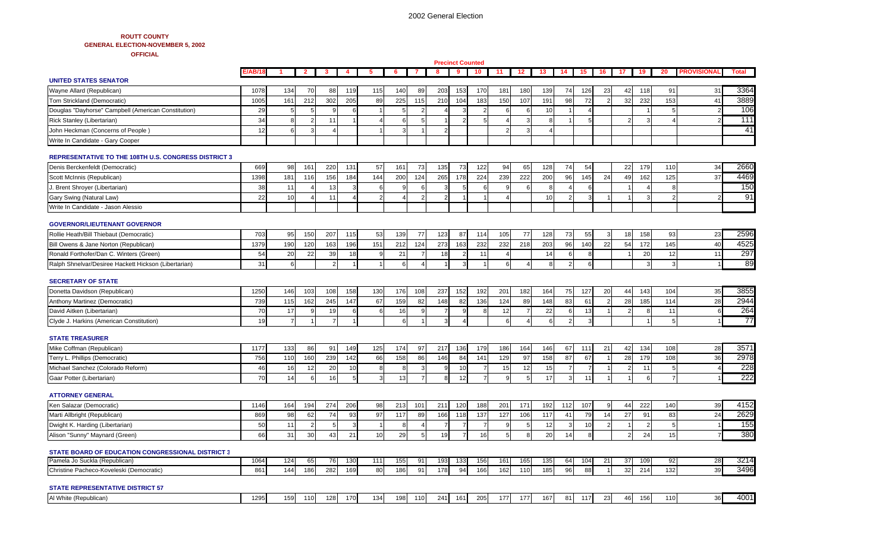## **ROUTT COUNTY GENERAL ELECTION-NOVEMBER 5, 2002 OFFICIAL**

|                                                             |         |                |                |                |     |                |            |                |                | <b>Precinct Counted</b> |                |     |                 |     |                |     |    |                 |                |                |                   |              |
|-------------------------------------------------------------|---------|----------------|----------------|----------------|-----|----------------|------------|----------------|----------------|-------------------------|----------------|-----|-----------------|-----|----------------|-----|----|-----------------|----------------|----------------|-------------------|--------------|
| <b>UNITED STATES SENATOR</b>                                | E/AB/18 | -1             | $\overline{2}$ | -3             | 4   | -5             | -6         | 7              | 8              | 9                       | 10             | 11  | 12 <sub>1</sub> | 13  | 14             | 15  | 16 | 17 <sub>1</sub> | 19             | 20             | <b>PROVISIONA</b> | <b>Total</b> |
| Wayne Allard (Republican)                                   | 1078    | 134            | 70             | 88             | 119 | 115            | 140        | 89             | 203            | 153                     | 170            | 181 | 180             | 139 | 74             | 126 | 23 | 42              | 118            | 91             | 31                | 3364         |
| Tom Strickland (Democratic)                                 | 1005    | 161            | 212            | 302            | 205 | 89             | 225        | 115            | 210            | 104                     | 183            | 150 | 107             | 191 | 98             | 72  |    | 32              | 232            | 153            | 41                | 3889         |
| Douglas "Dayhorse" Campbell (American Constitution)         | 29      |                | 5              |                |     |                | 5          | 2              |                |                         |                | 6   |                 | 10  |                |     |    |                 |                | 5              |                   | 106          |
| Rick Stanley (Libertarian)                                  | 34      |                | $\overline{2}$ | 11             |     |                | $\epsilon$ | $\overline{5}$ |                |                         | 5              |     |                 | 8   |                | 5   |    | $\overline{2}$  | 3              |                |                   | 111          |
| John Heckman (Concerns of People)                           | 12      |                |                |                |     |                |            |                | $\mathcal{P}$  |                         |                |     |                 |     |                |     |    |                 |                |                |                   | 41           |
| Write In Candidate - Gary Cooper                            |         |                |                |                |     |                |            |                |                |                         |                |     |                 |     |                |     |    |                 |                |                |                   |              |
|                                                             |         |                |                |                |     |                |            |                |                |                         |                |     |                 |     |                |     |    |                 |                |                |                   |              |
| <b>REPRESENTATIVE TO THE 108TH U.S. CONGRESS DISTRICT 3</b> |         |                |                |                |     |                |            |                |                |                         |                |     |                 |     |                |     |    |                 |                |                |                   |              |
| Denis Berckenfeldt (Democratic)                             | 669     | 98             | 161            | 220            | 131 | 57             | 161        | 73             | 135            | 73                      | 122            | 94  | 65              | 128 | 74             | 54  |    | 22              | 179            | 110            | 34                | 2660         |
| Scott McInnis (Republican)                                  | 1398    | 181            | 116            | 156            | 184 | 144            | 200        | 124            | 265            | 178                     | 224            | 239 | 222             | 200 | 96             | 145 | 24 | 49              | 162            | 125            | 37                | 4469         |
| I. Brent Shroyer (Libertarian)                              | 38      | 11             |                | 13             |     | 6              | c          | -6             | 3              |                         | -6             | ാ   |                 | 8   |                | 6   |    |                 | $\overline{4}$ | 8              |                   | 150          |
| Gary Swing (Natural Law)                                    | 22      | 10             |                | 11             |     | $\overline{2}$ |            | 2              | $\overline{2}$ |                         | -1             |     |                 | 10  | $\overline{2}$ | 3   |    |                 | 3              | $\overline{2}$ |                   | 91           |
| Write In Candidate - Jason Alessio                          |         |                |                |                |     |                |            |                |                |                         |                |     |                 |     |                |     |    |                 |                |                |                   |              |
| <b>GOVERNOR/LIEUTENANT GOVERNOR</b>                         |         |                |                |                |     |                |            |                |                |                         |                |     |                 |     |                |     |    |                 |                |                |                   |              |
| Rollie Heath/Bill Thiebaut (Democratic)                     | 703     | 95             | 150            | 207            | 115 | 53             | 139        | 77             | 123            | 87                      | 114            | 105 | 77              | 128 | 73             | 55  | 3  | 18              | 158            | 93             | 23                | 2596         |
| Bill Owens & Jane Norton (Republican)                       | 1379    | 190            | 120            | 163            | 196 | 151            | 212        | 124            | 273            | 163                     | 232            | 232 | 218             | 203 | 96             | 140 | 22 | 54              | 172            | 145            | 40                | 4525         |
| Ronald Forthofer/Dan C. Winters (Green)                     | 54      | 20             | 22             | 39             | 18  |                | 21         |                | 18             |                         | 11             |     |                 | 14  | 6              | 8   |    |                 | 20             | 12             | 11                | 297          |
| Ralph Shnelvar/Desiree Hackett Hickson (Libertarian)        | 31      | 6              |                | $\overline{2}$ |     | $\overline{1}$ | 6          | $\overline{4}$ | $\mathbf{1}$   | 3                       | $\overline{1}$ | 6   |                 | 8   | $\overline{2}$ | 6   |    |                 | 3              | $\mathbf{3}$   |                   | 89           |
|                                                             |         |                |                |                |     |                |            |                |                |                         |                |     |                 |     |                |     |    |                 |                |                |                   |              |
| <b>SECRETARY OF STATE</b><br>Donetta Davidson (Republican)  | 1250    | 146            | 103            | 108            | 158 | 130            | 176        | 108            | 237            | 152                     | 192            | 201 | 182             | 164 | 75             | 127 | 20 | 44              | 143            | 104            | 35                | 3855         |
| Anthony Martinez (Democratic)                               | 739     | 115            | 162            | 245            | 147 | 67             | 159        | 82             | 148            | 82                      | 136            | 124 | 89              | 148 | 83             | 61  |    | 28              | 185            | 114            | 28                | 2944         |
| David Aitken (Libertarian)                                  | 70      | 17             | 9              | 19             | 6   | 6              | 16         | 9              | $\overline{7}$ | 9                       | 8              | 12  | 7               | 22  | 6              | 13  |    | $\overline{2}$  | 8              | 11             | 6                 | 264          |
| Clyde J. Harkins (American Constitution)                    | 19      | $\overline{7}$ |                | $\overline{7}$ |     |                | 6          |                | 3              |                         |                | 6   |                 | 6   | 2              | 3   |    |                 |                | 5              | $\mathbf{1}$      | 77           |
|                                                             |         |                |                |                |     |                |            |                |                |                         |                |     |                 |     |                |     |    |                 |                |                |                   |              |
| <b>STATE TREASURER</b>                                      |         |                |                |                |     |                |            |                |                |                         |                |     |                 |     |                |     |    |                 |                |                |                   |              |
| Mike Coffman (Republican)                                   | 1177    | 133            | 86             | 91             | 149 | 125            | 174        | 97             | 217            | 136                     | 179            | 186 | 164             | 146 | 67             | 111 | 21 | 42              | 134            | 108            | 28                | 3571         |
| Terry L. Phillips (Democratic)                              | 756     | 110            | 160            | 239            | 142 | 66             | 158        | 86             | 146            | 84                      | 141            | 129 | 97              | 158 | 87             | 67  |    | 28              | 179            | 108            | 36                | 2978         |
| Michael Sanchez (Colorado Reform)                           | 46      | 16             | $12 \,$        | 20             | 10  | 8              | 8          | Э              | 9              | 10                      | -7             | 15  | 12              | 15  | 7              | 7   |    | $\overline{2}$  | 11             | 5              | 4                 | 228          |
| Gaar Potter (Libertarian)                                   | 70      | 14             | 6              | 16             | 5   | 3              | 13         | 7              | 8              | 12                      | $\overline{7}$ | 9   | -5              | 17  | 3              | 11  |    |                 | 6              | $\overline{7}$ |                   | 222          |
| <b>ATTORNEY GENERAL</b>                                     |         |                |                |                |     |                |            |                |                |                         |                |     |                 |     |                |     |    |                 |                |                |                   |              |
| Ken Salazar (Democratic)                                    | 1146    | 164            | 194            | 274            | 206 | 98             | 213        | 101            | 211            | 120                     | 188            | 201 | 171             | 192 | 112            | 107 | 9  | 44              | 222            | 140            | 39                | 4152         |
| Marti Allbright (Republican)                                | 869     | 98             | 62             | 74             | 93  | 97             | 117        | 89             | 166            | 118                     | 137            | 127 | 106             | 117 | 41             | 79  | 14 | 27              | 91             | 83             | 24                | 2629         |
| Dwight K. Harding (Libertarian)                             | 50      | 11             |                | 5              | 3   |                | 8          |                |                |                         | $\overline{7}$ |     |                 | 12  | 3              | 10  |    |                 | $\overline{2}$ | 5              |                   | 155          |
| Alison "Sunny" Maynard (Green)                              | 66      | 31             | 30             | 43             | 21  | 10             | 29         | $\overline{5}$ | 19             | $\overline{7}$          | 16             | 5   | -8              | 20  | 14             | 8   |    | $\overline{2}$  | 24             | 15             | $\overline{7}$    | 380          |
| STATE BOARD OF EDUCATION CONGRESSIONAL DISTRICT 3           |         |                |                |                |     |                |            |                |                |                         |                |     |                 |     |                |     |    |                 |                |                |                   |              |
| Pamela Jo Suckla (Republican)                               | 1064    | 124            | 65             | 76             | 130 | 111            | 155        | 91             | 193            | 133                     | 156            | 161 | 165             | 135 | 64             | 104 | 21 | 37              | 109            | 92             | 28                | 3214         |
| Christine Pacheco-Koveleski (Democratic)                    | 861     | 144            | 186            | 282            | 169 | 80             | 186        | 91             | 178            | 94                      | 166            | 162 | 110             | 185 | 96             | 88  |    | 32              | 214            | 132            | 39                | 3496         |
| <b>STATE REPRESENTATIVE DISTRICT 57</b>                     |         |                |                |                |     |                |            |                |                |                         |                |     |                 |     |                |     |    |                 |                |                |                   |              |
| Al White (Republican)                                       | 1295    | 159            | 110            | 128            | 170 | 134            | 198        | 110            | 241            | 161                     | 205            | 177 | 177             | 167 | 81             | 117 | 23 | 46              | 156            | 110            | 36                | 4001         |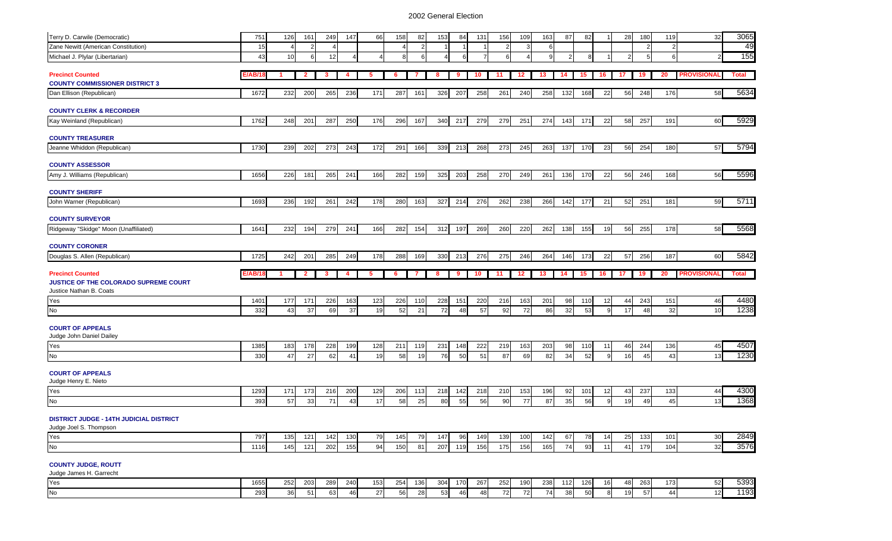| Terry D. Carwile (Democratic)                  | 751         | 126             | 161            | 249       | 147       | 66        | 158       | 82        | 153            | 84        | 131       | 156       | 109       | 163       | 87        | 82        |                    | 28       | 180       | 119       | 32                 | 3065                 |
|------------------------------------------------|-------------|-----------------|----------------|-----------|-----------|-----------|-----------|-----------|----------------|-----------|-----------|-----------|-----------|-----------|-----------|-----------|--------------------|----------|-----------|-----------|--------------------|----------------------|
| Zane Newitt (American Constitution)            | 15          |                 | $\overline{2}$ |           |           |           | Δ         | 2         |                |           |           |           | 3         | 6         |           |           |                    |          |           | 2         |                    | 49                   |
| Michael J. Plylar (Libertarian)                | 43          | 10 <sup>1</sup> | 6              | 12        | 4         |           | я         | 6         | $\overline{4}$ | 6         | 7         | 6         |           | 9         | 2         | 8         |                    | 2        |           | 6         | $\mathcal{P}$      | 155                  |
| <b>Precinct Counted</b>                        | :/AB/1      |                 | $\mathbf{2}$   | -3        | 4         | 5         | 6         |           | 8              | -9        | 10        | 11        | 12        | 13        | 14        | 15        | 16                 | -17      | 19        | 20        | <b>PROVISIONAI</b> | <b>Total</b>         |
| <b>COUNTY COMMISSIONER DISTRICT 3</b>          |             |                 |                |           |           |           |           |           |                |           |           |           |           |           |           |           |                    |          |           |           |                    |                      |
| Dan Ellison (Republican)                       | 1672        | 232             | 200            | 265       | 236       | 171       | 287       | 161       | 326            | 207       | 258       | 261       | 240       | 258       | 132       | 168       | 22                 | 56       | 248       | 176       | 58                 | 5634                 |
| <b>COUNTY CLERK &amp; RECORDER</b>             |             |                 |                |           |           |           |           |           |                |           |           |           |           |           |           |           |                    |          |           |           |                    |                      |
| Kay Weinland (Republican)                      | 1762        | 248             | 201            | 287       | 250       | 176       | 296       | 167       | 340            | 217       | 279       | 279       | 251       | 274       | 143       | 171       | 22                 | 58       | 257       | 191       | 60                 | 5929                 |
| <b>COUNTY TREASURER</b>                        |             |                 |                |           |           |           |           |           |                |           |           |           |           |           |           |           |                    |          |           |           |                    |                      |
| Jeanne Whiddon (Republican)                    | 1730        | 239             | 202            | 273       | 243       | 172       | 291       | 166       | 339            | 213       | 268       | 273       | 245       | 263       | 137       | 170       | 23                 | 56       | 254       | 180       | 57                 | 5794                 |
| <b>COUNTY ASSESSOR</b>                         |             |                 |                |           |           |           |           |           |                |           |           |           |           |           |           |           |                    |          |           |           |                    |                      |
| Amy J. Williams (Republican)                   | 1656        | 226             | 181            | 265       | 241       | 166       | 282       | 159       | 325            | 203       | 258       | 270       | 249       | 261       | 136       | 170       | 22                 | 56       | 246       | 168       | 56                 | 5596                 |
| <b>COUNTY SHERIFF</b>                          |             |                 |                |           |           |           |           |           |                |           |           |           |           |           |           |           |                    |          |           |           |                    |                      |
| John Warner (Republican)                       | 1693        | 236             | 192            | 261       | 242       | 178       | 280       | 163       | 327            | 214       | 276       | 262       | 238       | 266       | 142       | 177       | 21                 | 52       | 251       | 181       | 59                 | 5711                 |
| <b>COUNTY SURVEYOR</b>                         |             |                 |                |           |           |           |           |           |                |           |           |           |           |           |           |           |                    |          |           |           |                    |                      |
| Ridgeway "Skidge" Moon (Unaffiliated)          | 1641        | 232             | 194            | 279       | 241       | 166       | 282       | 154       | 312            | 197       | 269       | 260       | 220       | 262       | 138       | 155       | 19                 | 56       | 255       | 178       | 58                 | 5568                 |
| <b>COUNTY CORONER</b>                          |             |                 |                |           |           |           |           |           |                |           |           |           |           |           |           |           |                    |          |           |           |                    |                      |
| Douglas S. Allen (Republican)                  | 1725        | 242             | 201            | 285       | 249       | 178       | 288       | 169       | 330            | 213       | 276       | 275       | 246       | 264       | 146       | 173       | 22                 | 57       | 256       | 187       | 60                 | 5842                 |
|                                                |             |                 |                |           |           |           |           |           |                |           |           |           |           |           |           |           |                    |          |           |           |                    |                      |
| <b>Precinct Counted</b>                        | E/AB/1      |                 | $\mathbf{2}$   | 3         | 4         | 5         | 6         | 7         | 8              | 9         | 10        | 11        | $12 \,$   | 13        | 14        | 15        | 16                 | 17       | 19        | 20        | <b>PROVISIONAL</b> | <b>Total</b>         |
| JUSTICE OF THE COLORADO SUPREME COURT          |             |                 |                |           |           |           |           |           |                |           |           |           |           |           |           |           |                    |          |           |           |                    |                      |
| Justice Nathan B. Coats                        |             |                 |                |           |           |           |           |           |                |           |           |           |           |           |           |           |                    |          |           |           |                    |                      |
| Yes                                            | 1401        | 177             | 171            | 226       | 163       | 123       | 226       | 110       | 228            | 151       | 220       | 216       | 163       | 201       | 98        | 110       | 12                 | 44       | 243       | 151       | 46                 | 4480                 |
| <b>No</b>                                      | 332         | 43              | 37             | 69        | 37        | 19        | 52        | 21        | 72             | 48        | 57        | 92        | 72        | 86        | 32        | 53        | 9                  | 17       | 48        | 32        | 10                 | 1238                 |
| <b>COURT OF APPEALS</b>                        |             |                 |                |           |           |           |           |           |                |           |           |           |           |           |           |           |                    |          |           |           |                    |                      |
| Judge John Daniel Dailey                       |             |                 | 178            |           |           |           |           | 119       |                | 148       | 222       |           |           |           |           |           | 11                 | 46       |           |           | 45                 |                      |
| Yes<br>No                                      | 1385<br>330 | 183<br>47       | 27             | 228<br>62 | 199<br>41 | 128<br>19 | 211<br>58 | 19        | 231<br>76      | 50        | 51        | 219<br>87 | 163<br>69 | 203<br>82 | 98<br>34  | 110<br>52 | q                  | 16       | 244<br>45 | 136<br>43 | 13                 | 4507<br>1230         |
| <b>COURT OF APPEALS</b>                        |             |                 |                |           |           |           |           |           |                |           |           |           |           |           |           |           |                    |          |           |           |                    |                      |
| Judge Henry E. Nieto                           |             |                 |                |           |           |           |           |           |                |           |           |           |           |           |           |           |                    |          |           |           |                    |                      |
| Yes                                            | 1293        | 171             | 173            | 216       | 200       | 129       | 206       | 113       | 218            | 142       | 218       | 210       | 153       | 196       | 92        | 101       | 12                 | 43       | 237       | 133       | 44                 | 4300                 |
| No                                             | 393         | 57              | 33             | 71        | 43        | 17        | 58        | 25        | 80             | 55        | 56        | 90        | 77        | 87        | 35        | 56        | 9                  | 19       | 49        | 45        | 13                 | 1368                 |
| <b>DISTRICT JUDGE - 14TH JUDICIAL DISTRICT</b> |             |                 |                |           |           |           |           |           |                |           |           |           |           |           |           |           |                    |          |           |           |                    |                      |
| Judge Joel S. Thompson                         |             |                 |                |           |           |           |           |           |                |           |           |           |           |           |           |           |                    |          |           |           |                    |                      |
| Yes                                            | 797         | 135             | 121            | 142       | 130       | 79        | 145       | 79        | 147            | 96        | 149       | 139       | 100       | 142       | 67        | 78        | 14                 | 25       | 133       | 101       | 30                 | 2849                 |
| No                                             | 1116        | 145             | 121            | 202       | 155       | 94        | 150       | 81        | 207            | 119       | 156       | 175       | 156       | 165       | 74        | 93        | 11                 | 41       | 179       | 104       | 32                 |                      |
| <b>COUNTY JUDGE, ROUTT</b>                     |             |                 |                |           |           |           |           |           |                |           |           |           |           |           |           |           |                    |          |           |           |                    |                      |
| Judge James H. Garrecht                        |             |                 |                |           |           |           |           |           |                |           |           |           |           |           |           |           |                    |          |           |           |                    |                      |
| Yes<br>No                                      | 1655<br>293 | 252<br>36       | 203<br>51      | 289<br>63 | 240<br>46 | 153<br>27 | 254<br>56 | 136<br>28 | 304<br>53      | 170<br>46 | 267<br>48 | 252<br>72 | 190<br>72 | 238<br>74 | 112<br>38 | 126<br>50 | 16<br>$\mathbf{g}$ | 48<br>19 | 263<br>57 | 173<br>44 | 52<br>12           | 3576<br>5393<br>1193 |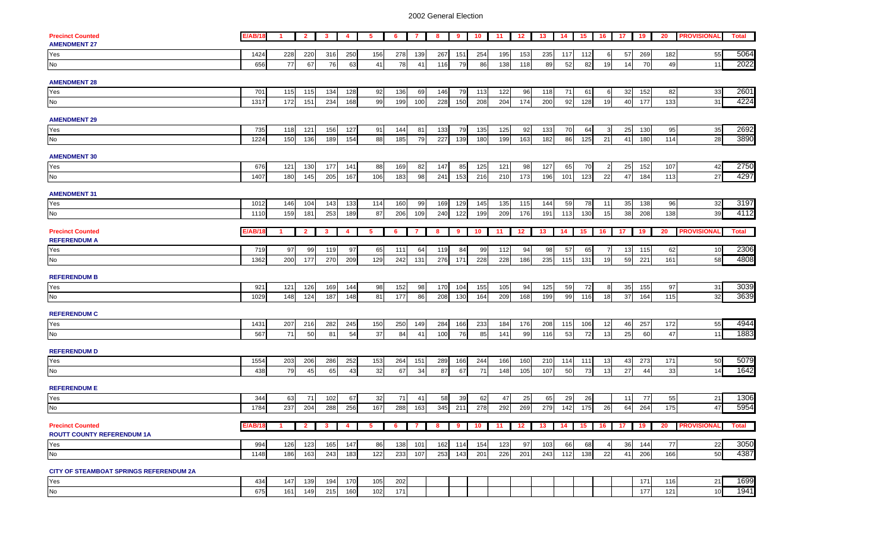| <b>Precinct Counted</b>                        | <b>E/AB/18</b> | $\overline{1}$ | $\overline{\mathbf{2}}$ | $\mathbf{3}$   | $\overline{4}$ | 5               | 6   | $\mathbf{7}$                      | 8   | 9   | 10  | 11    | 12                             | 13  | 14  | 15 <b>I</b> | 16 17          |          | 19  | 20    | <b>PROVISIONAL</b>    | <b>Total</b> |
|------------------------------------------------|----------------|----------------|-------------------------|----------------|----------------|-----------------|-----|-----------------------------------|-----|-----|-----|-------|--------------------------------|-----|-----|-------------|----------------|----------|-----|-------|-----------------------|--------------|
| <b>AMENDMENT 27</b>                            |                |                |                         |                |                |                 |     |                                   |     |     |     |       |                                |     |     |             |                |          |     |       |                       |              |
| Yes                                            | 1424           | 228            | 220                     | 316            | 250            | 156             | 278 | 139                               | 267 | 151 | 254 | 195   | 153                            | 235 | 117 | $112$       | 6              | 57       | 269 | 182   | 55                    | 5064         |
| No                                             | 656            | 77             | 67                      | 76             | 63             | 41              | 78  | 41                                | 116 | 79  | 86  | 138   | 118                            | 89  | 52  | 82          | 19             | 14       | 70  | 49    | 11                    | 2022         |
|                                                |                |                |                         |                |                |                 |     |                                   |     |     |     |       |                                |     |     |             |                |          |     |       |                       |              |
| <b>AMENDMENT 28</b>                            |                |                |                         |                |                |                 |     |                                   |     |     |     |       |                                |     |     |             |                |          |     |       |                       |              |
| Yes                                            | 701            | 115            | 115                     | 134            | 128            | 92              | 136 | 69                                | 146 | 79  | 113 | 122   | 96                             | 118 | 71  | 61          | 6              | 32       | 152 | 82    | 33                    | 2601         |
| No                                             | 1317           | 172            | 151                     | 234            | 168            | 99              | 199 | 100                               | 228 | 150 | 208 | 204   | 174                            | 200 | 92  | 128         | 19             | 40       | 177 | 133   | 31                    | 4224         |
|                                                |                |                |                         |                |                |                 |     |                                   |     |     |     |       |                                |     |     |             |                |          |     |       |                       |              |
| <b>AMENDMENT 29</b>                            |                |                |                         |                |                |                 |     |                                   |     |     |     |       |                                |     |     |             |                |          |     |       |                       |              |
| Yes                                            | 735            | 118            | 121                     | 156            | 127            | 91              | 144 | 81                                | 133 | 79  | 135 | 125   | 92                             | 133 | 70  | 64          | 3              | 25       | 130 | 95    | 35                    | 2692         |
| No                                             | 1224           | 150            | 136                     | 189            | 154            | 88              | 185 | 79                                | 227 | 139 | 180 | 199   | 163                            | 182 | 86  | 125         | 21             | 41       | 180 | $114$ | 28                    | 3890         |
|                                                |                |                |                         |                |                |                 |     |                                   |     |     |     |       |                                |     |     |             |                |          |     |       |                       |              |
| <b>AMENDMENT 30</b>                            |                |                |                         |                |                |                 |     |                                   |     |     |     |       |                                |     |     |             |                |          |     |       |                       |              |
| Yes<br>No                                      | 676            | 121            | 130                     | 177            | 141            | 88              | 169 | 82                                | 147 | 85  | 125 | $121$ | 98                             | 127 | 65  | 70          | $\overline{2}$ | 25       | 152 | 107   | 42                    | 2750         |
|                                                | 1407           | 180            | 145                     | 205            | 167            | 106             | 183 | 98                                | 241 | 153 | 216 | 210   | 173                            | 196 | 101 | 123         | 22             | 47       | 184 | 113   | 27                    | 4297         |
|                                                |                |                |                         |                |                |                 |     |                                   |     |     |     |       |                                |     |     |             |                |          |     |       |                       |              |
| <b>AMENDMENT 31</b>                            |                |                |                         |                |                |                 |     |                                   |     |     |     |       |                                |     |     |             |                |          |     |       |                       |              |
| Yes                                            | 1012           | 146            | 104                     | 143            | 133            | 114             | 160 | 99                                | 169 | 129 | 145 | 135   | 115                            | 144 | 59  | 78          | 11             | 35       | 138 | 96    | 32                    | 3197         |
| <b>No</b>                                      | 1110           | 159            | 181                     | 253            | 189            | 87              | 206 | 109                               | 240 | 122 | 199 | 209   | 176                            | 191 | 113 | 130         | 15             | 38       | 208 | 138   | 39                    | 4112         |
|                                                |                |                |                         |                |                |                 |     |                                   |     |     |     |       |                                |     |     |             |                |          |     |       |                       |              |
| <b>Precinct Counted</b>                        | <b>E/AB/18</b> | $\mathbf{1}$   | $\overline{2}$          | 3              | $\overline{4}$ | 5               | 6   | 7                                 | 8   | 9   | 10  | 11    | 12                             | 13  | 14  | 15          | 16             | 17       | 19  | 20    | <b>PROVISIONAL</b>    | <b>Total</b> |
| <b>REFERENDUM A</b>                            |                |                |                         |                |                |                 |     |                                   |     |     |     |       |                                |     |     |             |                |          |     |       |                       |              |
| Yes                                            | 719            | 97             | 99                      | 119            | 97             | 65              | 111 | 64                                | 119 | 84  | 99  | 112   | 94                             | 98  | 57  | 65          | $\overline{7}$ | 13       | 115 | 62    | 10                    | 2306         |
| No                                             | 1362           | 200            | 177                     | 270            | 209            | 129             | 242 | 131                               | 276 | 171 | 228 | 228   | 186                            | 235 | 115 | 131         | 19             | 59       | 221 | 161   | 58                    | 4808         |
|                                                |                |                |                         |                |                |                 |     |                                   |     |     |     |       |                                |     |     |             |                |          |     |       |                       |              |
| <b>REFERENDUM B</b>                            |                |                |                         |                |                |                 |     |                                   |     |     |     |       |                                |     |     |             |                |          |     |       |                       |              |
| Yes                                            | 921            | 121            | 126                     | 169            | 144            | 98              | 152 | 98                                | 170 | 104 | 155 | 105   | 94                             | 125 | 59  | 72          | $8 \mid$       | 35       | 155 | 97    | 31                    | 3039         |
| No                                             | 1029           | 148            | 124                     | 187            | 148            | 81              | 177 | 86                                | 208 | 130 | 164 | 209   | 168                            | 199 | 99  | 116         | 18             | 37       | 164 | 115   | 32                    | 3639         |
|                                                |                |                |                         |                |                |                 |     |                                   |     |     |     |       |                                |     |     |             |                |          |     |       |                       |              |
| <b>REFERENDUM C</b>                            |                |                |                         |                |                |                 |     |                                   |     |     |     |       |                                |     |     |             |                |          |     |       |                       |              |
| Yes                                            | 1431           | 207            | 216                     | 282            | 245            | 150             | 250 | 149                               | 284 | 166 | 233 | 184   | 176                            | 208 | 115 | 106         | 12             | 46       | 257 | 172   | 55                    | 4944         |
| No                                             | 567            | 71             | 50                      | 81             | 54             | $\overline{37}$ | 84  | 41                                | 100 | 76  | 85  | 141   | 99                             | 116 | 53  | 72          | 13             | 25       | 60  | 47    | 11                    | 1883         |
| <b>REFERENDUM D</b>                            |                |                |                         |                |                |                 |     |                                   |     |     |     |       |                                |     |     |             |                |          |     |       |                       |              |
| Yes                                            |                |                |                         |                |                |                 |     |                                   |     |     |     |       |                                |     |     |             |                |          |     |       | 50                    | 5079         |
| <b>No</b>                                      | 1554           | 203            | 206                     | 286            | 252            | 153<br>32       | 264 | 151                               | 289 | 166 | 244 | 166   | 160                            | 210 | 114 | 111         | 13             | 43<br>27 | 273 | 171   |                       |              |
|                                                | 438            | 79             | 45                      | 65             | 43             |                 | 67  | 34                                | 87  | 67  | 71  | 148   | 105                            | 107 | 50  | 73          | 13             |          | 44  | 33    | 14                    | 1642         |
| <b>REFERENDUM E</b>                            |                |                |                         |                |                |                 |     |                                   |     |     |     |       |                                |     |     |             |                |          |     |       |                       |              |
| Yes                                            | 344            | 63             | 71                      | 102            | 67             | 32              | 71  | 41                                | 58  | 39  | 62  | 47    | 25                             | 65  | 29  | 26          |                | 11       | 77  | 55    | 21                    | 1306         |
| <b>No</b>                                      | 1784           | 237            | 204                     | 288            | 256            | 167             | 288 | 163                               | 345 | 211 | 278 | 292   | 269                            | 279 | 142 | 175         | 26             | 64       | 264 | 175   | 47                    | 5954         |
|                                                |                |                |                         |                |                |                 |     |                                   |     |     |     |       |                                |     |     |             |                |          |     |       |                       |              |
| <b>Precinct Counted</b>                        | <b>E/AB/18</b> | $\blacksquare$ | 2 <sub>1</sub>          | 3 <sub>1</sub> | 4 <sub>1</sub> | 5<br><b>II</b>  |     | $6$ $\overline{7}$ $\overline{1}$ |     |     |     |       | 8 9 10 11 12 13 14 15 16 17 19 |     |     |             |                |          |     |       | <b>20 PROVISIONAL</b> | <b>Total</b> |
| <b>ROUTT COUNTY REFERENDUM 1A</b>              |                |                |                         |                |                |                 |     |                                   |     |     |     |       |                                |     |     |             |                |          |     |       |                       |              |
| Yes                                            | 994            | 126            | 123                     | 165            | 147            | 86              | 138 | 101                               | 162 | 114 | 154 | 123   | 97                             | 103 | 66  | 68          |                | 36       | 144 | 77    | 22                    | 3050         |
| No                                             | 1148           | 186            | 163                     | 243            | 183            | 122             | 233 | 107                               | 253 | 143 | 201 | 226   | 201                            | 243 | 112 | 138         | 22             | 41       | 206 | 166   | 50                    | 4387         |
|                                                |                |                |                         |                |                |                 |     |                                   |     |     |     |       |                                |     |     |             |                |          |     |       |                       |              |
| <b>CITY OF STEAMBOAT SPRINGS REFERENDUM 2A</b> |                |                |                         |                |                |                 |     |                                   |     |     |     |       |                                |     |     |             |                |          |     |       |                       |              |
| Yes                                            | 434            | 147            | 139                     | 194            | 170            | 105             | 202 |                                   |     |     |     |       |                                |     |     |             |                |          | 171 | 116   | 21                    | 1699         |
| No                                             | 675            | 161            | 149                     | 215            | 160            | 102             | 171 |                                   |     |     |     |       |                                |     |     |             |                |          | 177 | 121   | 10                    | 1941         |
|                                                |                |                |                         |                |                |                 |     |                                   |     |     |     |       |                                |     |     |             |                |          |     |       |                       |              |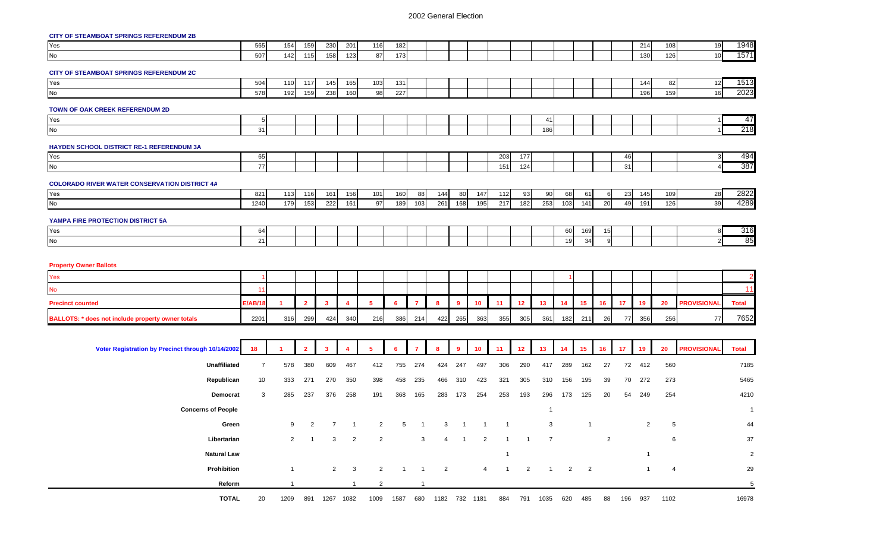# **CITY OF STEAMBOAT SPRINGS REFERENDUM 2B**

| <u><b>Sitt Strategiers</b></u> of this Strategiers and the Strategiers and |                |                |                |                         |                    |                |              |                |                                  |                |                |                |                 |                      |                |                |                |            |                |                |                    |                |
|----------------------------------------------------------------------------|----------------|----------------|----------------|-------------------------|--------------------|----------------|--------------|----------------|----------------------------------|----------------|----------------|----------------|-----------------|----------------------|----------------|----------------|----------------|------------|----------------|----------------|--------------------|----------------|
| Yes<br>No                                                                  | 565            | 154            | 159            | 230                     | 201                | 116            | 182          |                |                                  |                |                |                |                 |                      |                |                |                |            | 214            | 108            | 19                 | 1948           |
|                                                                            | 507            | 142            | 115            | 158                     | 123                | 87             | 173          |                |                                  |                |                |                |                 |                      |                |                |                |            | 130            | 126            | 10                 | 1571           |
| CITY OF STEAMBOAT SPRINGS REFERENDUM 2C                                    |                |                |                |                         |                    |                |              |                |                                  |                |                |                |                 |                      |                |                |                |            |                |                |                    |                |
| Yes<br>No                                                                  | 504            | 110            | 117            | 145                     | 165                | 103            | 131          |                |                                  |                |                |                |                 |                      |                |                |                |            | 144            | 82             | 12                 | 1513           |
|                                                                            | 578            | 192            | 159            | 238                     | 160                | 98             | 227          |                |                                  |                |                |                |                 |                      |                |                |                |            | 196            | 159            | 16                 | 2023           |
| TOWN OF OAK CREEK REFERENDUM 2D                                            |                |                |                |                         |                    |                |              |                |                                  |                |                |                |                 |                      |                |                |                |            |                |                |                    |                |
| Yes<br>No                                                                  | 5              |                |                |                         |                    |                |              |                |                                  |                |                |                |                 | 41                   |                |                |                |            |                |                |                    | 47             |
|                                                                            | 31             |                |                |                         |                    |                |              |                |                                  |                |                |                |                 | 186                  |                |                |                |            |                |                |                    | 218            |
| HAYDEN SCHOOL DISTRICT RE-1 REFERENDUM 3A                                  |                |                |                |                         |                    |                |              |                |                                  |                |                |                |                 |                      |                |                |                |            |                |                |                    |                |
| Yes<br>No                                                                  | 65             |                |                |                         |                    |                |              |                |                                  |                |                | 203            | 177             |                      |                |                |                | 46         |                |                | 3                  | 494<br>387     |
|                                                                            | 77             |                |                |                         |                    |                |              |                |                                  |                |                | 151            | 124             |                      |                |                |                | 31         |                |                | $\overline{4}$     |                |
| <b>COLORADO RIVER WATER CONSERVATION DISTRICT 4A</b>                       |                |                |                |                         |                    |                |              |                |                                  |                |                |                |                 |                      |                |                |                |            |                |                |                    |                |
| Yes<br>No                                                                  | 821            | 113            | 116            | 161                     | 156                | 101            | 160          | 88             | 144                              | 80             | 147            | 112            | 93              | 90                   | 68             | 61             | 6              | 23         | 145            | 109            | 28                 | 2822           |
|                                                                            | 1240           | 179            | 153            | 222                     | 161                | 97             | 189          | 103            | 261                              | 168            | 195            | 217            | 182             | 253                  | 103            | 141            | 20             | 49         | 191            | 126            | 39                 | 4289           |
| YAMPA FIRE PROTECTION DISTRICT 5A                                          |                |                |                |                         |                    |                |              |                |                                  |                |                |                |                 |                      |                |                |                |            |                |                |                    |                |
| Yes<br>No                                                                  | 64             |                |                |                         |                    |                |              |                |                                  |                |                |                |                 |                      | 60             | 169            | 15             |            |                |                | 8                  | 316            |
|                                                                            | 21             |                |                |                         |                    |                |              |                |                                  |                |                |                |                 |                      | 19             | 34             | 9              |            |                |                | $\overline{2}$     | 85             |
| <b>Property Owner Ballots</b><br>Yes                                       |                |                |                |                         |                    |                |              |                |                                  |                |                |                |                 |                      |                |                |                |            |                |                |                    |                |
| No                                                                         | 11             |                |                |                         |                    |                |              |                |                                  |                |                |                |                 |                      |                |                |                |            |                |                |                    | 11             |
| <b>Precinct counted</b>                                                    | <b>E/AB/18</b> | 1              | $\overline{2}$ | 3                       | 4                  | 5              | 6            | $\mathbf{7}$   | 8                                | 9              | 10             | 11             | 12              | 13                   | 14             | 15             | 16             | 17         | 19             | 20             | <b>PROVISIONAL</b> | <b>Total</b>   |
| BALLOTS: * does not include property owner totals                          | 2201           | 316            | 299            | 424                     | 340                | 216            | 386          | 214            | 422                              | 265            | 363            | 355            | 305             | 361                  | 182            | 211            | 26             | 77         | 356            | 256            | 77                 | 7652           |
|                                                                            |                |                |                |                         |                    |                |              |                |                                  |                |                |                |                 |                      |                |                |                |            |                |                |                    |                |
|                                                                            |                |                |                |                         |                    |                |              |                |                                  |                |                |                |                 |                      |                |                |                |            |                |                |                    |                |
| Voter Registration by Precinct through 10/14/2002                          | 18             |                | $\overline{2}$ | $\overline{\mathbf{3}}$ | 4                  | 5              | 6            | $\overline{7}$ | 8                                | $\overline{9}$ | 10             | 11             | 12 <sub>2</sub> | 13                   | 14             | 15             | 16             | 17         | -19            | 20             | <b>PROVISIONAL</b> | <b>Total</b>   |
| Unaffiliated                                                               | $\overline{7}$ | 578            | 380            | 609                     | 467                | 412            | 755          | 274            | 424                              | 247            | 497            | 306            | 290             | 417                  | 289            | 162            | 27             | 72         | 412            | 560            |                    | 7185           |
| Republican                                                                 | 10             | 333            | 271            | 270                     | 350                | 398            | 458          | 235            | 466                              | 310            | 423            | 321            | 305             | 310                  | 156            | 195            | 39             | 70         | 272            | 273            |                    | 5465           |
| Democrat                                                                   | 3              | 285            | 237            | 376                     | 258                | 191            | 368          | 165            | 283                              | 173            | 254            | 253            | 193             | 296                  | 173            | 125            | 20             | 54         | 249            | 254            |                    | 4210           |
| <b>Concerns of People</b>                                                  |                |                |                |                         |                    |                |              |                |                                  |                |                |                |                 | $\overline{1}$       |                |                |                |            |                |                |                    | $\overline{1}$ |
| Green                                                                      |                | 9              | 2              | $\overline{7}$          | $\overline{1}$     | 2              | 5            |                | 3                                |                |                | $\overline{1}$ |                 | 3                    |                | $\mathbf{1}$   |                |            | 2              | -5             |                    | 44             |
| Libertarian                                                                |                | $\overline{2}$ | $\overline{1}$ | 3                       | $\overline{2}$     | $\overline{2}$ |              | 3              | 4                                | $\overline{1}$ | $\overline{2}$ | 1              | $\mathbf{1}$    | $\overline{7}$       |                |                | $\overline{2}$ |            |                | 6              |                    | 37             |
| <b>Natural Law</b>                                                         |                |                |                |                         |                    |                |              |                |                                  |                |                | -1             |                 |                      |                |                |                |            |                |                |                    | $\overline{2}$ |
| Prohibition                                                                |                | $\overline{1}$ |                | $\overline{2}$          | $\mathbf{3}$       | $\overline{2}$ | $\mathbf{1}$ | $\overline{1}$ | $\overline{2}$                   |                | $\overline{4}$ | $\overline{1}$ | $\overline{2}$  | $\mathbf{1}$         | $\overline{2}$ | $\overline{2}$ |                |            | $\overline{1}$ | $\overline{4}$ |                    | 29             |
| Reform                                                                     |                |                |                |                         | $\mathbf{1}$       | $\overline{c}$ |              |                |                                  |                |                |                |                 |                      |                |                |                |            |                |                |                    | $\,$ 5 $\,$    |
| <b>TOTAL</b>                                                               | 20             |                |                |                         | 1209 891 1267 1082 |                |              |                | 1009  1587  680  1182  732  1181 |                |                |                |                 | 884 791 1035 620 485 |                |                |                | 88 196 937 |                | 1102           |                    | 16978          |